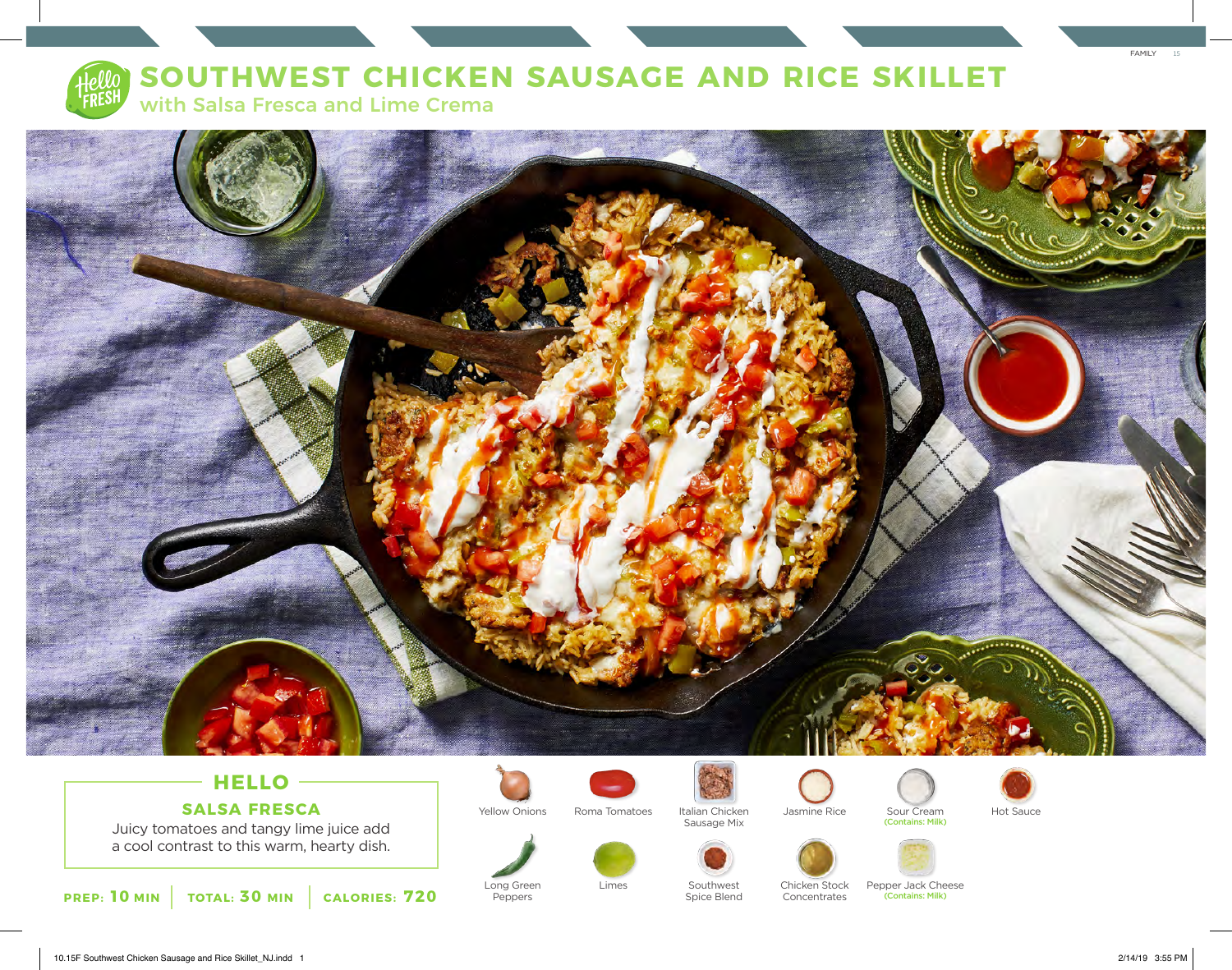

## **SOUTHWEST CHICKEN SAUSAGE AND RICE SKILLET**

with Salsa Fresca and Lime Crema



### **HELLO SALSA FRESCA**

Juicy tomatoes and tangy lime juice add a cool contrast to this warm, hearty dish.

**PREP: 10 MIN TOTAL: 30 MIN CALORIES: 720**



Long Green Peppers

Yellow Onions Roma Tomatoes Italian Chicken Jasmine Rice Sour Cream Hot Sauce



Spice Blend

Sausage Mix





Jasmine Rice





Chicken Stock Concentrates

Limes Southwest Chicken Stock Pepper Jack Cheese (Contains: Milk)



FAMILY 15